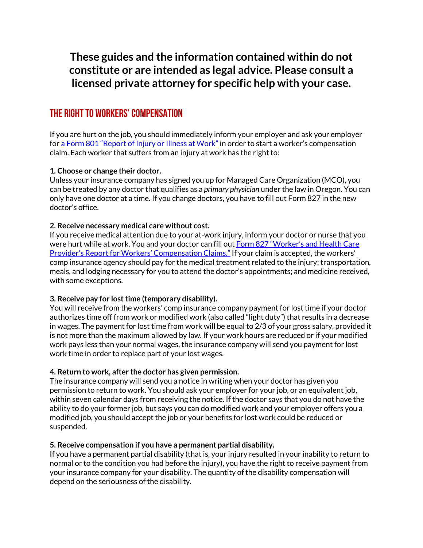# **These guides and the information contained within do not constitute or are intended as legal advice. Please consult a licensed private attorney for specific help with your case.**

# The Right to Workers' Compensation

If you are hurt on the job, you should immediately inform your employer and ask your employer for a Form [801 "Report of Injury or Illness at Work"](http://www.cbs.state.or.us/wcd/policy/bulletins/docconv_12544/801.pdf) in order to start a worker's compensation claim. Each worker that suffers from an injury at work has the right to:

### **1. Choose or change their doctor.**

Unless your insurance company has signed you up for Managed Care Organization (MCO), you can be treated by any doctor that qualifies as a *primary physician* under the law in Oregon. You can only have one doctor at a time. If you change doctors, you have to fill out Form 827 in the new doctor's office.

### **2. Receive necessary medical care without cost.**

If you receive medical attention due to your at-work injury, inform your doctor or nurse that you were hurt while at work. You and your doctor can fill ou[t Form 827 "Worker's and Health Care](http://www.cbs.state.or.us/wcd/policy/bulletins/docconv_12544/827.pdf)  [Provider's Report for Workers' Compensation Claims."](http://www.cbs.state.or.us/wcd/policy/bulletins/docconv_12544/827.pdf) If your claim is accepted, the workers' comp insurance agency should pay for the medical treatment related to the injury; transportation, meals, and lodging necessary for you to attend the doctor's appointments; and medicine received, with some exceptions.

## **3. Receive pay for lost time (temporary disability).**

You will receive from the workers' comp insurance company payment for lost time if your doctor authorizes time off from work or modified work (also called "light duty") that results in a decrease in wages. The payment for lost time from work will be equal to 2/3 of your gross salary, provided it is not more than the maximum allowed by law. If your work hours are reduced or if your modified work pays less than your normal wages, the insurance company will send you payment for lost work time in order to replace part of your lost wages.

#### **4. Return to work, after the doctor has given permission.**

The insurance company will send you a notice in writing when your doctor has given you permission to return to work. You should ask your employer for your job, or an equivalent job, within seven calendar days from receiving the notice. If the doctor says that you do not have the ability to do your former job, but says you can do modified work and your employer offers you a modified job, you should accept the job or your benefits for lost work could be reduced or suspended.

#### **5. Receive compensation if you have a permanent partial disability.**

If you have a permanent partial disability (that is, your injury resulted in your inability to return to normal or to the condition you had before the injury), you have the right to receive payment from your insurance company for your disability. The quantity of the disability compensation will depend on the seriousness of the disability.